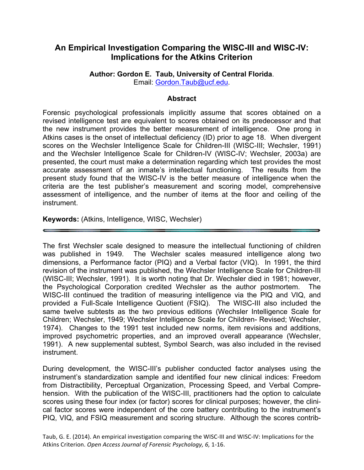# **An Empirical Investigation Comparing the WISC-III and WISC-IV: Implications for the Atkins Criterion**

**Author: Gordon E. Taub, University of Central Florida**. Email: Gordon.Taub@ucf.edu.

### **Abstract**

Forensic psychological professionals implicitly assume that scores obtained on a revised intelligence test are equivalent to scores obtained on its predecessor and that the new instrument provides the better measurement of intelligence. One prong in Atkins cases is the onset of intellectual deficiency (ID) prior to age 18. When divergent scores on the Wechsler Intelligence Scale for Children-III (WISC-III; Wechsler, 1991) and the Wechsler Intelligence Scale for Children-IV (WISC-IV; Wechsler, 2003a) are presented, the court must make a determination regarding which test provides the most accurate assessment of an inmate's intellectual functioning. The results from the present study found that the WISC-IV is the better measure of intelligence when the criteria are the test publisher's measurement and scoring model, comprehensive assessment of intelligence, and the number of items at the floor and ceiling of the instrument.

**Keywords:** (Atkins, Intelligence, WISC, Wechsler)

The first Wechsler scale designed to measure the intellectual functioning of children was published in 1949. The Wechsler scales measured intelligence along two dimensions, a Performance factor (PIQ) and a Verbal factor (VIQ). In 1991, the third revision of the instrument was published, the Wechsler Intelligence Scale for Children-III (WISC-III; Wechsler, 1991). It is worth noting that Dr. Wechsler died in 1981; however, the Psychological Corporation credited Wechsler as the author postmortem. The WISC-III continued the tradition of measuring intelligence via the PIQ and VIQ, and provided a Full-Scale Intelligence Quotient (FSIQ). The WISC-III also included the same twelve subtests as the two previous editions (Wechsler Intelligence Scale for Children; Wechsler, 1949; Wechsler Intelligence Scale for Children- Revised; Wechsler, 1974). Changes to the 1991 test included new norms, item revisions and additions, improved psychometric properties, and an improved overall appearance (Wechsler, 1991). A new supplemental subtest, Symbol Search, was also included in the revised instrument.

During development, the WISC-III's publisher conducted factor analyses using the instrument's standardization sample and identified four new clinical indices: Freedom from Distractibility, Perceptual Organization, Processing Speed, and Verbal Comprehension. With the publication of the WISC-III, practitioners had the option to calculate scores using these four index (or factor) scores for clinical purposes; however, the clinical factor scores were independent of the core battery contributing to the instrument's PIQ, VIQ, and FSIQ measurement and scoring structure. Although the scores contrib-

Taub, G. E. (2014). An empirical investigation comparing the WISC-III and WISC-IV: Implications for the Atkins Criterion. Open Access Journal of Forensic Psychology, 6, 1-16.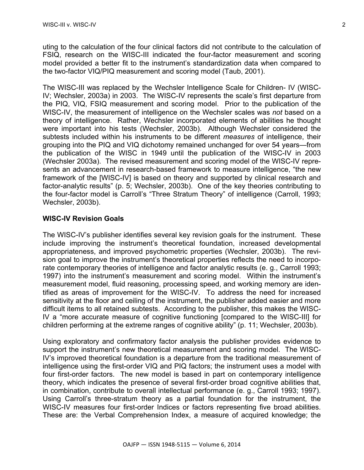uting to the calculation of the four clinical factors did not contribute to the calculation of FSIQ, research on the WISC-III indicated the four-factor measurement and scoring model provided a better fit to the instrument's standardization data when compared to the two-factor VIQ/PIQ measurement and scoring model (Taub, 2001).

The WISC-III was replaced by the Wechsler Intelligence Scale for Children- IV (WISC-IV; Wechsler, 2003a) in 2003. The WISC-IV represents the scale's first departure from the PIQ, VIQ, FSIQ measurement and scoring model. Prior to the publication of the WISC-IV, the measurement of intelligence on the Wechsler scales was *not* based on a theory of intelligence. Rather, Wechsler incorporated elements of abilities he thought were important into his tests (Wechsler, 2003b). Although Wechsler considered the subtests included within his instruments to be different *measures* of intelligence, their grouping into the PIQ and VIQ dichotomy remained unchanged for over 54 years—from the publication of the WISC in 1949 until the publication of the WISC-IV in 2003 (Wechsler 2003a). The revised measurement and scoring model of the WISC-IV represents an advancement in research-based framework to measure intelligence, "the new framework of the [WISC-IV] is based on theory and supported by clinical research and factor-analytic results" (p. 5; Wechsler, 2003b). One of the key theories contributing to the four-factor model is Carroll's "Three Stratum Theory" of intelligence (Carroll, 1993; Wechsler, 2003b).

### **WISC-IV Revision Goals**

The WISC-IV's publisher identifies several key revision goals for the instrument. These include improving the instrument's theoretical foundation, increased developmental appropriateness, and improved psychometric properties (Wechsler, 2003b). The revision goal to improve the instrument's theoretical properties reflects the need to incorporate contemporary theories of intelligence and factor analytic results (e. g., Carroll 1993; 1997) into the instrument's measurement and scoring model. Within the instrument's measurement model, fluid reasoning, processing speed, and working memory are identified as areas of improvement for the WISC-IV. To address the need for increased sensitivity at the floor and ceiling of the instrument, the publisher added easier and more difficult items to all retained subtests. According to the publisher, this makes the WISC-IV a "more accurate measure of cognitive functioning [compared to the WISC-III] for children performing at the extreme ranges of cognitive ability" (p. 11; Wechsler, 2003b).

Using exploratory and confirmatory factor analysis the publisher provides evidence to support the instrument's new theoretical measurement and scoring model. The WISC-IV's improved theoretical foundation is a departure from the traditional measurement of intelligence using the first-order VIQ and PIQ factors; the instrument uses a model with four first-order factors. The new model is based in part on contemporary intelligence theory, which indicates the presence of several first-order broad cognitive abilities that, in combination, contribute to overall intellectual performance (e. g., Carroll 1993; 1997). Using Carroll's three-stratum theory as a partial foundation for the instrument, the WISC-IV measures four first-order Indices or factors representing five broad abilities. These are: the Verbal Comprehension Index, a measure of acquired knowledge; the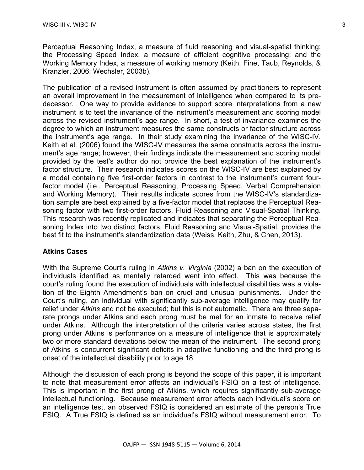Perceptual Reasoning Index, a measure of fluid reasoning and visual-spatial thinking; the Processing Speed Index, a measure of efficient cognitive processing; and the Working Memory Index, a measure of working memory (Keith, Fine, Taub, Reynolds, & Kranzler, 2006; Wechsler, 2003b).

The publication of a revised instrument is often assumed by practitioners to represent an overall improvement in the measurement of intelligence when compared to its predecessor. One way to provide evidence to support score interpretations from a new instrument is to test the invariance of the instrument's measurement and scoring model across the revised instrument's age range. In short, a test of invariance examines the degree to which an instrument measures the same constructs or factor structure across the instrument's age range. In their study examining the invariance of the WISC-IV, Keith et al. (2006) found the WISC-IV measures the same constructs across the instrument's age range; however, their findings indicate the measurement and scoring model provided by the test's author do not provide the best explanation of the instrument's factor structure. Their research indicates scores on the WISC-IV are best explained by a model containing five first-order factors in contrast to the instrument's current fourfactor model (i.e., Perceptual Reasoning, Processing Speed, Verbal Comprehension and Working Memory). Their results indicate scores from the WISC-IV's standardization sample are best explained by a five-factor model that replaces the Perceptual Reasoning factor with two first-order factors, Fluid Reasoning and Visual-Spatial Thinking. This research was recently replicated and indicates that separating the Perceptual Reasoning Index into two distinct factors, Fluid Reasoning and Visual-Spatial, provides the best fit to the instrument's standardization data (Weiss, Keith, Zhu, & Chen, 2013).

# **Atkins Cases**

With the Supreme Court's ruling in *Atkins v. Virginia* (2002) a ban on the execution of individuals identified as mentally retarded went into effect. This was because the court's ruling found the execution of individuals with intellectual disabilities was a violation of the Eighth Amendment's ban on cruel and unusual punishments. Under the Court's ruling, an individual with significantly sub-average intelligence may qualify for relief under *Atkins* and not be executed; but this is not automatic. There are three separate prongs under Atkins and each prong must be met for an inmate to receive relief under Atkins. Although the interpretation of the criteria varies across states, the first prong under Atkins is performance on a measure of intelligence that is approximately two or more standard deviations below the mean of the instrument. The second prong of Atkins is concurrent significant deficits in adaptive functioning and the third prong is onset of the intellectual disability prior to age 18.

Although the discussion of each prong is beyond the scope of this paper, it is important to note that measurement error affects an individual's FSIQ on a test of intelligence. This is important in the first prong of Atkins, which requires significantly sub-average intellectual functioning. Because measurement error affects each individual's score on an intelligence test, an observed FSIQ is considered an estimate of the person's True FSIQ. A True FSIQ is defined as an individual's FSIQ without measurement error. To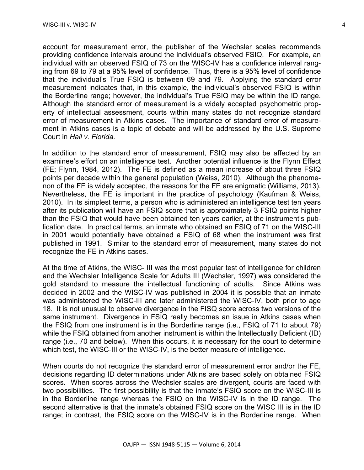account for measurement error, the publisher of the Wechsler scales recommends providing confidence intervals around the individual's observed FSIQ. For example, an individual with an observed FSIQ of 73 on the WISC-IV has a confidence interval ranging from 69 to 79 at a 95% level of confidence. Thus, there is a 95% level of confidence that the individual's True FSIQ is between 69 and 79. Applying the standard error measurement indicates that, in this example, the individual's observed FSIQ is within the Borderline range; however, the individual's True FSIQ may be within the ID range. Although the standard error of measurement is a widely accepted psychometric property of intellectual assessment, courts within many states do not recognize standard error of measurement in Atkins cases. The importance of standard error of measurement in Atkins cases is a topic of debate and will be addressed by the U.S. Supreme Court in *Hall v. Florida*.

In addition to the standard error of measurement, FSIQ may also be affected by an examinee's effort on an intelligence test. Another potential influence is the Flynn Effect (FE; Flynn, 1984, 2012). The FE is defined as a mean increase of about three FSIQ points per decade within the general population (Weiss, 2010). Although the phenomenon of the FE is widely accepted, the reasons for the FE are enigmatic (Williams, 2013). Nevertheless, the FE is important in the practice of psychology (Kaufman & Weiss, 2010). In its simplest terms, a person who is administered an intelligence test ten years after its publication will have an FSIQ score that is approximately 3 FSIQ points higher than the FSIQ that would have been obtained ten years earlier, at the instrument's publication date. In practical terms, an inmate who obtained an FSIQ of 71 on the WISC-III in 2001 would potentially have obtained a FSIQ of 68 when the instrument was first published in 1991. Similar to the standard error of measurement, many states do not recognize the FE in Atkins cases.

At the time of Atkins, the WISC- III was the most popular test of intelligence for children and the Wechsler Intelligence Scale for Adults III (Wechsler, 1997) was considered the gold standard to measure the intellectual functioning of adults. Since Atkins was decided in 2002 and the WISC-IV was published in 2004 it is possible that an inmate was administered the WISC-III and later administered the WISC-IV, both prior to age 18. It is not unusual to observe divergence in the FISQ score across two versions of the same instrument. Divergence in FSIQ really becomes an issue in Atkins cases when the FSIQ from one instrument is in the Borderline range (i.e., FSIQ of 71 to about 79) while the FSIQ obtained from another instrument is within the Intellectually Deficient (ID) range (i.e., 70 and below). When this occurs, it is necessary for the court to determine which test, the WISC-III or the WISC-IV, is the better measure of intelligence.

When courts do not recognize the standard error of measurement error and/or the FE, decisions regarding ID determinations under Atkins are based solely on obtained FSIQ scores. When scores across the Wechsler scales are divergent, courts are faced with two possibilities. The first possibility is that the inmate's FSIQ score on the WISC-III is in the Borderline range whereas the FSIQ on the WISC-IV is in the ID range. The second alternative is that the inmate's obtained FSIQ score on the WISC III is in the ID range; in contrast, the FSIQ score on the WISC-IV is in the Borderline range. When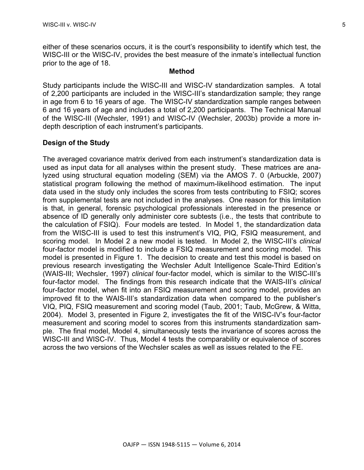either of these scenarios occurs, it is the court's responsibility to identify which test, the WISC-III or the WISC-IV, provides the best measure of the inmate's intellectual function prior to the age of 18.

#### **Method**

Study participants include the WISC-III and WISC-IV standardization samples. A total of 2,200 participants are included in the WISC-III's standardization sample; they range in age from 6 to 16 years of age. The WISC-IV standardization sample ranges between 6 and 16 years of age and includes a total of 2,200 participants. The Technical Manual of the WISC-III (Wechsler, 1991) and WISC-IV (Wechsler, 2003b) provide a more indepth description of each instrument's participants.

### **Design of the Study**

The averaged covariance matrix derived from each instrument's standardization data is used as input data for all analyses within the present study. These matrices are analyzed using structural equation modeling (SEM) via the AMOS 7. 0 (Arbuckle, 2007) statistical program following the method of maximum-likelihood estimation. The input data used in the study only includes the scores from tests contributing to FSIQ; scores from supplemental tests are not included in the analyses. One reason for this limitation is that, in general, forensic psychological professionals interested in the presence or absence of ID generally only administer core subtests (i.e., the tests that contribute to the calculation of FSIQ). Four models are tested. In Model 1, the standardization data from the WISC-III is used to test this instrument's VIQ, PIQ, FSIQ measurement, and scoring model. In Model 2 a new model is tested. In Model 2, the WISC-III's *clinical* four-factor model is modified to include a FSIQ measurement and scoring model. This model is presented in Figure 1. The decision to create and test this model is based on previous research investigating the Wechsler Adult Intelligence Scale-Third Edition's (WAIS-III; Wechsler, 1997) *clinical* four-factor model, which is similar to the WISC-III's four-factor model. The findings from this research indicate that the WAIS-III's *clinical* four-factor model, when fit into an FSIQ measurement and scoring model, provides an improved fit to the WAIS-III's standardization data when compared to the publisher's VIQ, PIQ, FSIQ measurement and scoring model (Taub, 2001; Taub, McGrew, & Witta, 2004). Model 3, presented in Figure 2, investigates the fit of the WISC-IV's four-factor measurement and scoring model to scores from this instruments standardization sample. The final model, Model 4, simultaneously tests the invariance of scores across the WISC-III and WISC-IV. Thus, Model 4 tests the comparability or equivalence of scores across the two versions of the Wechsler scales as well as issues related to the FE.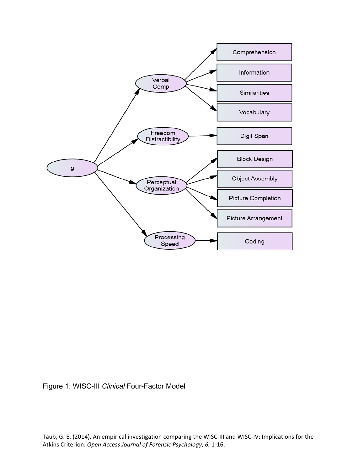

Figure 1. WISC-III *Clinical* Four-Factor Model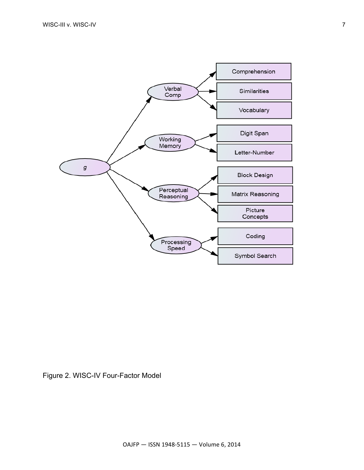

Figure 2. WISC-IV Four-Factor Model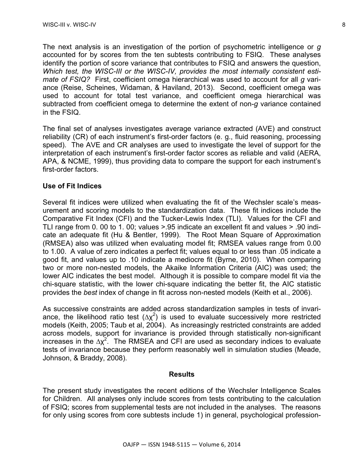The next analysis is an investigation of the portion of psychometric intelligence or *g* accounted for by scores from the ten subtests contributing to FSIQ. These analyses identify the portion of score variance that contributes to FSIQ and answers the question, *Which test, the WISC-III or the WISC-IV, provides the most internally consistent estimate of FSIQ?* First, coefficient omega hierarchical was used to account for all *g* variance (Reise, Scheines, Widaman, & Haviland, 2013). Second, coefficient omega was used to account for total test variance, and coefficient omega hierarchical was subtracted from coefficient omega to determine the extent of non-*g* variance contained in the FSIQ.

The final set of analyses investigates average variance extracted (AVE) and construct reliability (CR) of each instrument's first-order factors (e. g., fluid reasoning, processing speed). The AVE and CR analyses are used to investigate the level of support for the interpretation of each instrument's first-order factor scores as reliable and valid (AERA, APA, & NCME, 1999), thus providing data to compare the support for each instrument's first-order factors.

#### **Use of Fit Indices**

Several fit indices were utilized when evaluating the fit of the Wechsler scale's measurement and scoring models to the standardization data. These fit indices include the Comparative Fit Index (CFI) and the Tucker-Lewis Index (TLI). Values for the CFI and TLI range from 0. 00 to 1. 00; values >.95 indicate an excellent fit and values > .90 indicate an adequate fit (Hu & Bentler, 1999). The Root Mean Square of Approximation (RMSEA) also was utilized when evaluating model fit; RMSEA values range from 0.00 to 1.00. A value of zero indicates a perfect fit; values equal to or less than .05 indicate a good fit, and values up to .10 indicate a mediocre fit (Byrne, 2010). When comparing two or more non-nested models, the Akaike Information Criteria (AIC) was used; the lower AIC indicates the best model. Although it is possible to compare model fit via the chi-square statistic, with the lower chi-square indicating the better fit, the AIC statistic provides the *best* index of change in fit across non-nested models (Keith et al., 2006).

As successive constraints are added across standardization samples in tests of invariance, the likelihood ratio test  $(\Delta \chi^2)$  is used to evaluate successively more restricted models (Keith, 2005; Taub et al, 2004). As increasingly restricted constraints are added across models, support for invariance is provided through statistically non-significant increases in the  $\Delta x^2$ . The RMSEA and CFI are used as secondary indices to evaluate tests of invariance because they perform reasonably well in simulation studies (Meade, Johnson, & Braddy, 2008).

#### **Results**

The present study investigates the recent editions of the Wechsler Intelligence Scales for Children. All analyses only include scores from tests contributing to the calculation of FSIQ; scores from supplemental tests are not included in the analyses. The reasons for only using scores from core subtests include 1) in general, psychological profession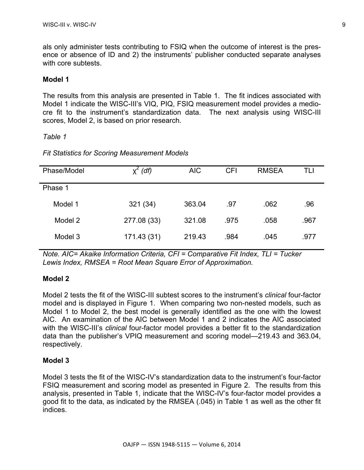als only administer tests contributing to FSIQ when the outcome of interest is the presence or absence of ID and 2) the instruments' publisher conducted separate analyses with core subtests.

#### **Model 1**

The results from this analysis are presented in Table 1. The fit indices associated with Model 1 indicate the WISC-III's VIQ, PIQ, FSIQ measurement model provides a mediocre fit to the instrument's standardization data. The next analysis using WISC-III scores, Model 2, is based on prior research.

#### *Table 1*

#### *Fit Statistics for Scoring Measurement Models*

| Phase/Model | (df)        | <b>AIC</b> | <b>CFI</b> | <b>RMSEA</b> | TLI  |
|-------------|-------------|------------|------------|--------------|------|
| Phase 1     |             |            |            |              |      |
| Model 1     | 321 (34)    | 363.04     | .97        | .062         | .96  |
| Model 2     | 277.08 (33) | 321.08     | .975       | .058         | .967 |
| Model 3     | 171.43 (31) | 219.43     | .984       | .045         | .977 |

*Note. AIC= Akaike Information Criteria, CFI = Comparative Fit Index, TLI = Tucker Lewis Index, RMSEA = Root Mean Square Error of Approximation.*

#### **Model 2**

Model 2 tests the fit of the WISC-III subtest scores to the instrument's *clinical* four-factor model and is displayed in Figure 1. When comparing two non-nested models, such as Model 1 to Model 2, the best model is generally identified as the one with the lowest AIC. An examination of the AIC between Model 1 and 2 indicates the AIC associated with the WISC-III's *clinical* four-factor model provides a better fit to the standardization data than the publisher's VPIQ measurement and scoring model—219.43 and 363.04, respectively.

#### **Model 3**

Model 3 tests the fit of the WISC-IV's standardization data to the instrument's four-factor FSIQ measurement and scoring model as presented in Figure 2. The results from this analysis, presented in Table 1, indicate that the WISC-IV's four-factor model provides a good fit to the data, as indicated by the RMSEA (.045) in Table 1 as well as the other fit indices.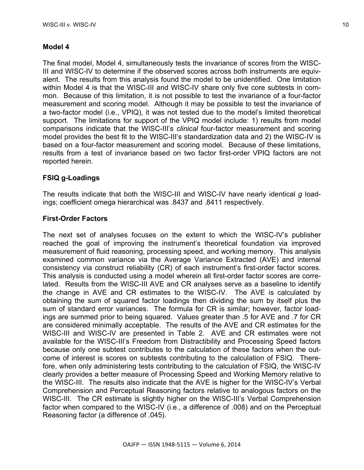### **Model 4**

The final model, Model 4, simultaneously tests the invariance of scores from the WISC-III and WISC-IV to determine if the observed scores across both instruments are equivalent. The results from this analysis found the model to be unidentified. One limitation within Model 4 is that the WISC-III and WISC-IV share only five core subtests in common. Because of this limitation, it is not possible to test the invariance of a four-factor measurement and scoring model. Although it may be possible to test the invariance of a two-factor model (i.e., VPIQ), it was not tested due to the model's limited theoretical support. The limitations for support of the VPIQ model include: 1) results from model comparisons indicate that the WISC-III's *clinical* four-factor measurement and scoring model provides the best fit to the WISC-III's standardization data and 2) the WISC-IV is based on a four-factor measurement and scoring model. Because of these limitations, results from a test of invariance based on two factor first-order VPIQ factors are not reported herein.

# **FSIQ g-Loadings**

The results indicate that both the WISC-III and WISC-IV have nearly identical *g* loadings; coefficient omega hierarchical was .8437 and .8411 respectively.

### **First-Order Factors**

The next set of analyses focuses on the extent to which the WISC-IV's publisher reached the goal of improving the instrument's theoretical foundation via improved measurement of fluid reasoning, processing speed, and working memory. This analysis examined common variance via the Average Variance Extracted (AVE) and internal consistency via construct reliability (CR) of each instrument's first-order factor scores. This analysis is conducted using a model wherein all first-order factor scores are correlated. Results from the WISC-III AVE and CR analyses serve as a baseline to identify the change in AVE and CR estimates to the WISC-IV. The AVE is calculated by obtaining the sum of squared factor loadings then dividing the sum by itself plus the sum of standard error variances. The formula for CR is similar; however, factor loadings are summed prior to being squared. Values greater than .5 for AVE and .7 for CR are considered minimally acceptable. The results of the AVE and CR estimates for the WISC-III and WISC-IV are presented in Table 2. AVE and CR estimates were not available for the WISC-III's Freedom from Distractibility and Processing Speed factors because only one subtest contributes to the calculation of these factors when the outcome of interest is scores on subtests contributing to the calculation of FSIQ. Therefore, when only administering tests contributing to the calculation of FSIQ, the WISC-IV clearly provides a better measure of Processing Speed and Working Memory relative to the WISC-III. The results also indicate that the AVE is higher for the WISC-IV's Verbal Comprehension and Perceptual Reasoning factors relative to analogous factors on the WISC-III. The CR estimate is slightly higher on the WISC-III's Verbal Comprehension factor when compared to the WISC-IV (i.e., a difference of .008) and on the Perceptual Reasoning factor (a difference of .045).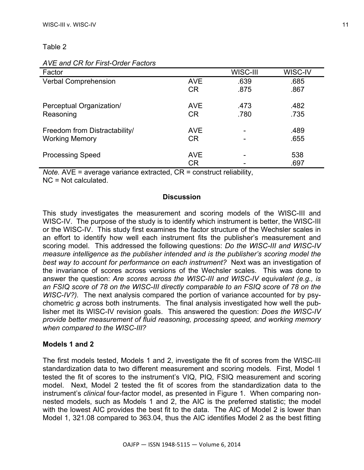Table 2

| Factor                        |            | WISC-III | WISC-IV |
|-------------------------------|------------|----------|---------|
| Verbal Comprehension          | AVE        | .639     | .685    |
|                               | <b>CR</b>  | .875     | .867    |
| Perceptual Organization/      | <b>AVE</b> | .473     | .482    |
| Reasoning                     | <b>CR</b>  | .780     | .735    |
| Freedom from Distractability/ | <b>AVE</b> | ۰        | .489    |
| <b>Working Memory</b>         | <b>CR</b>  |          | .655    |
| <b>Processing Speed</b>       | <b>AVE</b> |          | 538     |
|                               | <b>CR</b>  |          | .697    |

### *AVE and CR for First-Order Factors*

*Note.* AVE = average variance extracted, CR = construct reliability,

NC = Not calculated.

#### **Discussion**

This study investigates the measurement and scoring models of the WISC-III and WISC-IV. The purpose of the study is to identify which instrument is better, the WISC-III or the WISC-IV. This study first examines the factor structure of the Wechsler scales in an effort to identify how well each instrument fits the publisher's measurement and scoring model. This addressed the following questions: *Do the WISC-III and WISC-IV measure intelligence as the publisher intended and is the publisher's scoring model the best way to account for performance on each instrument?* Next was an investigation of the invariance of scores across versions of the Wechsler scales. This was done to answer the question: *Are scores across the WISC-III and WISC-IV equivalent (e.g., is an FSIQ score of 78 on the WISC-III directly comparable to an FSIQ score of 78 on the WISC-IV?).* The next analysis compared the portion of variance accounted for by psychometric *g* across both instruments. The final analysis investigated how well the publisher met its WISC-IV revision goals. This answered the question: *Does the WISC-IV provide better measurement of fluid reasoning, processing speed, and working memory when compared to the WISC-III?*

### **Models 1 and 2**

The first models tested, Models 1 and 2, investigate the fit of scores from the WISC-III standardization data to two different measurement and scoring models. First, Model 1 tested the fit of scores to the instrument's VIQ, PIQ, FSIQ measurement and scoring model. Next, Model 2 tested the fit of scores from the standardization data to the instrument's *clinical* four-factor model, as presented in Figure 1. When comparing nonnested models, such as Models 1 and 2, the AIC is the preferred statistic; the model with the lowest AIC provides the best fit to the data. The AIC of Model 2 is lower than Model 1, 321.08 compared to 363.04, thus the AIC identifies Model 2 as the best fitting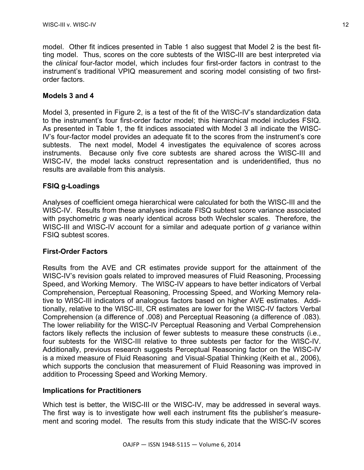model. Other fit indices presented in Table 1 also suggest that Model 2 is the best fitting model. Thus, scores on the core subtests of the WISC-III are best interpreted via the *clinical* four-factor model, which includes four first-order factors in contrast to the instrument's traditional VPIQ measurement and scoring model consisting of two firstorder factors.

# **Models 3 and 4**

Model 3, presented in Figure 2, is a test of the fit of the WISC-IV's standardization data to the instrument's four first-order factor model; this hierarchical model includes FSIQ. As presented in Table 1, the fit indices associated with Model 3 all indicate the WISC-IV's four-factor model provides an adequate fit to the scores from the instrument's core subtests. The next model, Model 4 investigates the equivalence of scores across instruments. Because only five core subtests are shared across the WISC-III and WISC-IV, the model lacks construct representation and is underidentified, thus no results are available from this analysis.

# **FSIQ g-Loadings**

Analyses of coefficient omega hierarchical were calculated for both the WISC-III and the WISC-IV. Results from these analyses indicate FISQ subtest score variance associated with psychometric *g* was nearly identical across both Wechsler scales. Therefore, the WISC-III and WISC-IV account for a similar and adequate portion of *g* variance within FSIQ subtest scores.

# **First-Order Factors**

Results from the AVE and CR estimates provide support for the attainment of the WISC-IV's revision goals related to improved measures of Fluid Reasoning, Processing Speed, and Working Memory. The WISC-IV appears to have better indicators of Verbal Comprehension, Perceptual Reasoning, Processing Speed, and Working Memory relative to WISC-III indicators of analogous factors based on higher AVE estimates. Additionally, relative to the WISC-III, CR estimates are lower for the WISC-IV factors Verbal Comprehension (a difference of .008) and Perceptual Reasoning (a difference of .083). The lower reliability for the WISC-IV Perceptual Reasoning and Verbal Comprehension factors likely reflects the inclusion of fewer subtests to measure these constructs (i.e., four subtests for the WISC-III relative to three subtests per factor for the WISC-IV. Additionally, previous research suggests Perceptual Reasoning factor on the WISC-IV is a mixed measure of Fluid Reasoning and Visual-Spatial Thinking (Keith et al., 2006), which supports the conclusion that measurement of Fluid Reasoning was improved in addition to Processing Speed and Working Memory.

# **Implications for Practitioners**

Which test is better, the WISC-III or the WISC-IV, may be addressed in several ways. The first way is to investigate how well each instrument fits the publisher's measurement and scoring model. The results from this study indicate that the WISC-IV scores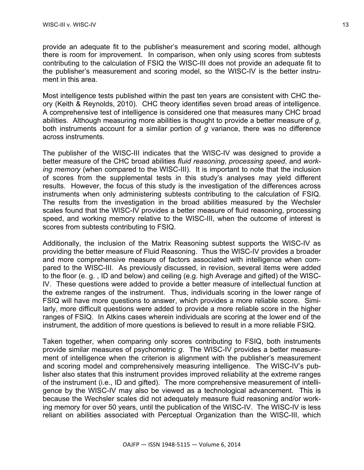provide an adequate fit to the publisher's measurement and scoring model, although there is room for improvement. In comparison, when only using scores from subtests contributing to the calculation of FSIQ the WISC-III does not provide an adequate fit to the publisher's measurement and scoring model, so the WISC-IV is the better instrument in this area.

Most intelligence tests published within the past ten years are consistent with CHC theory (Keith & Reynolds, 2010). CHC theory identifies seven broad areas of intelligence. A comprehensive test of intelligence is considered one that measures many CHC broad abilities. Although measuring more abilities is thought to provide a better measure of *g*, both instruments account for a similar portion of *g* variance, there was no difference across instruments.

The publisher of the WISC-III indicates that the WISC-IV was designed to provide a better measure of the CHC broad abilities *fluid reasoning*, *processing speed*, and *working memory* (when compared to the WISC-III). It is important to note that the inclusion of scores from the supplemental tests in this study's analyses may yield different results. However, the focus of this study is the investigation of the differences across instruments when only administering subtests contributing to the calculation of FSIQ. The results from the investigation in the broad abilities measured by the Wechsler scales found that the WISC-IV provides a better measure of fluid reasoning, processing speed, and working memory relative to the WISC-III, when the outcome of interest is scores from subtests contributing to FSIQ.

Additionally, the inclusion of the Matrix Reasoning subtest supports the WISC-IV as providing the better measure of Fluid Reasoning. Thus the WISC-IV provides a broader and more comprehensive measure of factors associated with intelligence when compared to the WISC-III. As previously discussed, in revision, several items were added to the floor (e. g. , ID and below) and ceiling (e.g. high Average and gifted) of the WISC-IV. These questions were added to provide a better measure of intellectual function at the extreme ranges of the instrument. Thus, individuals scoring in the lower range of FSIQ will have more questions to answer, which provides a more reliable score. Similarly, more difficult questions were added to provide a more reliable score in the higher ranges of FSIQ. In Atkins cases wherein individuals are scoring at the lower end of the instrument, the addition of more questions is believed to result in a more reliable FSIQ.

Taken together, when comparing only scores contributing to FSIQ, both instruments provide similar measures of psychometric *g*. The WISC-IV provides a better measurement of intelligence when the criterion is alignment with the publisher's measurement and scoring model and comprehensively measuring intelligence. The WISC-IV's publisher also states that this instrument provides improved reliability at the extreme ranges of the instrument (i.e., ID and gifted). The more comprehensive measurement of intelligence by the WISC-IV may also be viewed as a technological advancement. This is because the Wechsler scales did not adequately measure fluid reasoning and/or working memory for over 50 years, until the publication of the WISC-IV. The WISC-IV is less reliant on abilities associated with Perceptual Organization than the WISC-III, which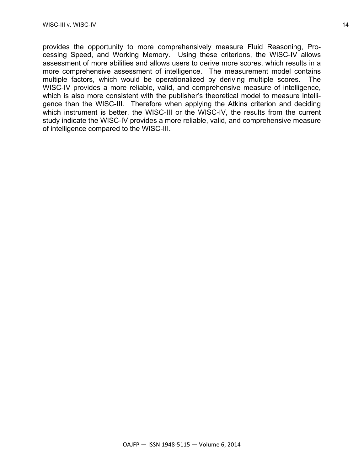provides the opportunity to more comprehensively measure Fluid Reasoning, Processing Speed, and Working Memory. Using these criterions, the WISC-IV allows assessment of more abilities and allows users to derive more scores, which results in a more comprehensive assessment of intelligence. The measurement model contains multiple factors, which would be operationalized by deriving multiple scores. The WISC-IV provides a more reliable, valid, and comprehensive measure of intelligence, which is also more consistent with the publisher's theoretical model to measure intelligence than the WISC-III. Therefore when applying the Atkins criterion and deciding which instrument is better, the WISC-III or the WISC-IV, the results from the current study indicate the WISC-IV provides a more reliable, valid, and comprehensive measure of intelligence compared to the WISC-III.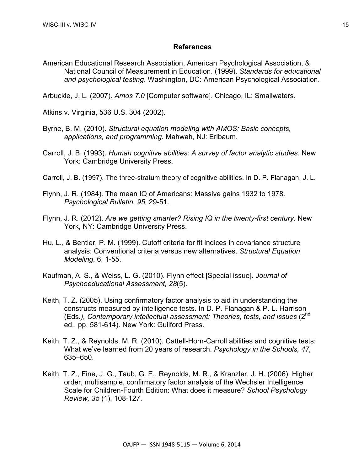#### **References**

American Educational Research Association, American Psychological Association, & National Council of Measurement in Education. (1999). *Standards for educational and psychological testing*. Washington, DC: American Psychological Association.

Arbuckle, J. L. (2007). *Amos 7.0* [Computer software]. Chicago, IL: Smallwaters.

Atkins v. Virginia, 536 U.S. 304 (2002).

- Byrne, B. M. (2010). *Structural equation modeling with AMOS: Basic concepts, applications, and programming.* Mahwah, NJ: Erlbaum.
- Carroll, J. B. (1993). *Human cognitive abilities: A survey of factor analytic studies*. New York: Cambridge University Press.
- Carroll, J. B. (1997). The three-stratum theory of cognitive abilities. In D. P. Flanagan, J. L.
- Flynn, J. R. (1984). The mean IQ of Americans: Massive gains 1932 to 1978. *Psychological Bulletin, 95,* 29-51.
- Flynn, J. R. (2012). *Are we getting smarter? Rising IQ in the twenty-first century*. New York, NY: Cambridge University Press.
- Hu, L., & Bentler, P. M. (1999). Cutoff criteria for fit indices in covariance structure analysis: Conventional criteria versus new alternatives. *Structural Equation Modeling*, 6, 1-55.
- Kaufman, A. S., & Weiss, L. G. (2010). Flynn effect [Special issue]. *Journal of Psychoeducational Assessment, 28*(5).
- Keith, T. Z. (2005). Using confirmatory factor analysis to aid in understanding the constructs measured by intelligence tests. In D. P. Flanagan & P. L. Harrison (Eds.), Contemporary intellectual assessment: Theories, tests, and issues (2<sup>nd</sup>) ed., pp. 581-614). New York: Guilford Press.
- Keith, T. Z., & Reynolds, M. R. (2010). Cattell-Horn-Carroll abilities and cognitive tests: What we've learned from 20 years of research. *Psychology in the Schools, 47,*  635–650.
- Keith, T. Z., Fine, J. G., Taub, G. E., Reynolds, M. R., & Kranzler, J. H. (2006). Higher order, multisample, confirmatory factor analysis of the Wechsler Intelligence Scale for Children-Fourth Edition: What does it measure? *School Psychology Review, 35* (1), 108-127.